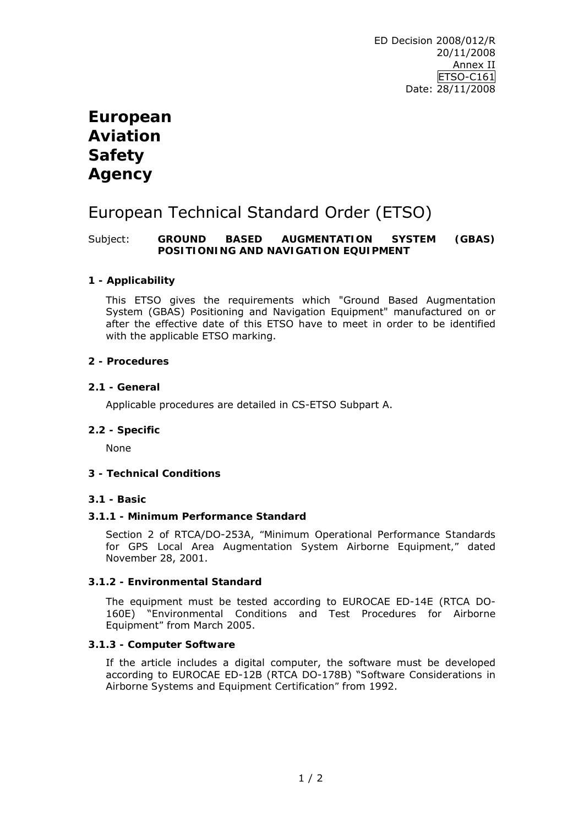# **European Aviation Safety Agency**

# European Technical Standard Order (ETSO)

## Subject: **GROUND BASED AUGMENTATION SYSTEM (GBAS) POSITIONING AND NAVIGATION EQUIPMENT**

## **1 - Applicability**

This ETSO gives the requirements which "Ground Based Augmentation System (GBAS) Positioning and Navigation Equipment" manufactured on or after the effective date of this ETSO have to meet in order to be identified with the applicable ETSO marking.

### **2 - Procedures**

### **2.1 - General**

Applicable procedures are detailed in CS-ETSO Subpart A.

#### **2.2 - Specific**

None

#### **3 - Technical Conditions**

#### **3.1 - Basic**

#### **3.1.1 - Minimum Performance Standard**

Section 2 of RTCA/DO-253A, *"Minimum Operational Performance Standards for GPS Local Area Augmentation System Airborne Equipment,"* dated November 28, 2001.

#### **3.1.2 - Environmental Standard**

The equipment must be tested according to EUROCAE ED-14E (RTCA DO-160E) "*Environmental Conditions and Test Procedures for Airborne Equipment"* from March 2005.

#### **3.1.3 - Computer Software**

If the article includes a digital computer, the software must be developed according to EUROCAE ED-12B (RTCA DO-178B) "*Software Considerations in Airborne Systems and Equipment Certification"* from 1992.